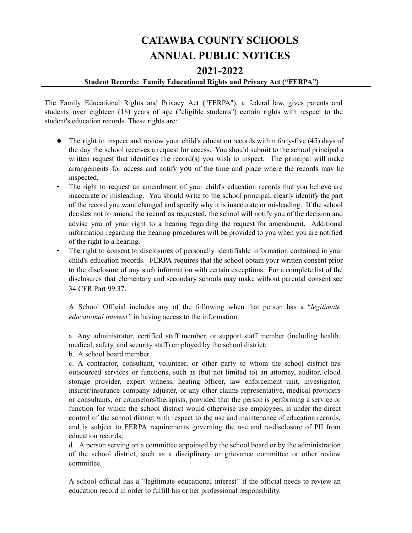# **CATAWBA COUNTY SCHOOLS ANNUAL PUBLIC NOTICES**

## **2021-2022**

## **Student Records: Family Educational Rights and Privacy Act ("FERPA")**

The Family Educational Rights and Privacy Act ("FERPA"), a federal law, gives parents and students over eighteen (18) years of age ("eligible students") certain rights with respect to the student's education records. These rights are:

- The right to inspect and review your child's education records within forty-five (45) days of the day the school receives a request for access. You should submit to the school principal a written request that identifies the record(s) you wish to inspect. The principal will make arrangements for access and notify you of the time and place where the records may be inspected.
- The right to request an amendment of your child's education records that you believe are inaccurate or misleading. You should write to the school principal, clearly identify the part of the record you want changed and specify why it is inaccurate or misleading. If the school decides not to amend the record as requested, the school will notify you of the decision and advise you of your right to a hearing regarding the request for amendment. Additional information regarding the hearing procedures will be provided to you when you are notified of the right to a hearing.
- The right to consent to disclosures of personally identifiable information contained in your child's education records. FERPA requires that the school obtain your written consent prior to the disclosure of any such information with certain exceptions. For a complete list of the disclosures that elementary and secondary schools may make without parental consent see 34 CFR Part 99.37.

A School Official includes any of the following when that person has a "*legitimate educational interest"* in having access to the information:

a. Any administrator, certified staff member, or support staff member (including health, medical, safety, and security staff) employed by the school district;

b. A school board member

c. A contractor, consultant, volunteer, or other party to whom the school district has outsourced services or functions, such as (but not limited to) an attorney, auditor, cloud storage provider, expert witness, heating officer, law enforcement unit, investigator, insurer/insurance company adjuster, or any other claims representative, medical providers or consultants, or counselors/therapists, provided that the person is performing a service or function for which the school district would otherwise use employees, is under the direct control of the school district with respect to the use and maintenance of education records, and is subject to FERPA requirements governing the use and re-disclosure of PII from education records;

d. A person serving on a committee appointed by the school board or by the administration of the school district, such as a disciplinary or grievance committee or other review committee.

A school official has a "legitimate educational interest" if the official needs to review an education record in order to fulfill his or her professional responsibility.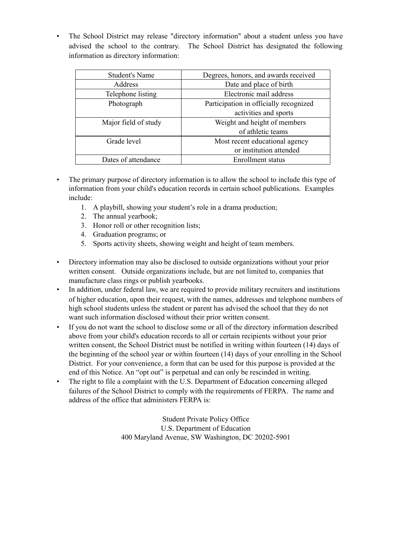• The School District may release "directory information" about a student unless you have advised the school to the contrary. The School District has designated the following information as directory information:

| <b>Student's Name</b> | Degrees, honors, and awards received   |  |  |
|-----------------------|----------------------------------------|--|--|
| Address               | Date and place of birth                |  |  |
| Telephone listing     | Electronic mail address                |  |  |
| Photograph            | Participation in officially recognized |  |  |
|                       | activities and sports                  |  |  |
| Major field of study  | Weight and height of members           |  |  |
|                       | of athletic teams                      |  |  |
| Grade level           | Most recent educational agency         |  |  |
|                       | or institution attended                |  |  |
| Dates of attendance   | Enrollment status                      |  |  |

- The primary purpose of directory information is to allow the school to include this type of information from your child's education records in certain school publications. Examples include:
	- 1. A playbill, showing your student's role in a drama production;
	- 2. The annual yearbook;
	- 3. Honor roll or other recognition lists;
	- 4. Graduation programs; or
	- 5. Sports activity sheets, showing weight and height of team members.
- Directory information may also be disclosed to outside organizations without your prior written consent. Outside organizations include, but are not limited to, companies that manufacture class rings or publish yearbooks.
- In addition, under federal law, we are required to provide military recruiters and institutions of higher education, upon their request, with the names, addresses and telephone numbers of high school students unless the student or parent has advised the school that they do not want such information disclosed without their prior written consent.
- If you do not want the school to disclose some or all of the directory information described above from your child's education records to all or certain recipients without your prior written consent, the School District must be notified in writing within fourteen (14) days of the beginning of the school year or within fourteen (14) days of your enrolling in the School District. For your convenience, a form that can be used for this purpose is provided at the end of this Notice. An "opt out" is perpetual and can only be rescinded in writing.
- The right to file a complaint with the U.S. Department of Education concerning alleged failures of the School District to comply with the requirements of FERPA. The name and address of the office that administers FERPA is:

Student Private Policy Office U.S. Department of Education 400 Maryland Avenue, SW Washington, DC 20202-5901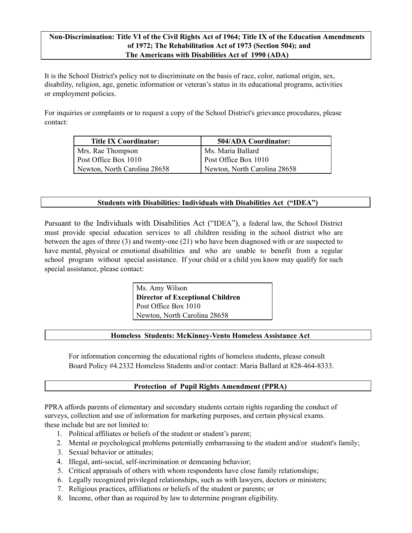## **Non-Discrimination: Title VI of the Civil Rights Act of 1964; Title IX of the Education Amendments of 1972; The Rehabilitation Act of 1973 (Section 504); and The Americans with Disabilities Act of 1990 (ADA)**

It is the School District's policy not to discriminate on the basis of race, color, national origin, sex, disability, religion, age, genetic information or veteran's status in its educational programs, activities or employment policies.

For inquiries or complaints or to request a copy of the School District's grievance procedures, please contact:

| Title IX Coordinator:        | <b>504/ADA Coordinator:</b>  |  |
|------------------------------|------------------------------|--|
| Mrs. Rae Thompson            | Ms. Maria Ballard            |  |
| Post Office Box 1010         | Post Office Box 1010         |  |
| Newton, North Carolina 28658 | Newton, North Carolina 28658 |  |

### **Students with Disabilities: Individuals with Disabilities Act ("IDEA")**

Pursuant to the Individuals with Disabilities Act ("IDEA"), a federal law, the School District must provide special education services to all children residing in the school district who are between the ages of three (3) and twenty-one (21) who have been diagnosed with or are suspected to have mental, physical or emotional disabilities and who are unable to benefit from a regular school program without special assistance. If your child or a child you know may qualify for such special assistance, please contact:

> Ms. Amy Wilson **Director of Exceptional Children** Post Office Box 1010 Newton, North Carolina 28658

#### **Homeless Students: McKinney-Vento Homeless Assistance Act**

For information concerning the educational rights of homeless students, please consult Board Policy #4.2332 Homeless Students and/or contact: Maria Ballard at 828-464-8333.

## **Protection of Pupil Rights Amendment (PPRA)**

PPRA affords parents of elementary and secondary students certain rights regarding the conduct of surveys, collection and use of information for marketing purposes, and certain physical exams. these include but are not limited to:

- 1. Political affiliates or beliefs of the student or student's parent;
- 2. Mental or psychological problems potentially embarrassing to the student and/or student's family;
- 3. Sexual behavior or attitudes;
- 4. Illegal, anti-social, self-incrimination or demeaning behavior;
- 5. Critical appraisals of others with whom respondents have close family relationships;
- 6. Legally recognized privileged relationships, such as with lawyers, doctors or ministers;
- 7. Religious practices, affiliations or beliefs of the student or parents; or
- 8. Income, other than as required by law to determine program eligibility.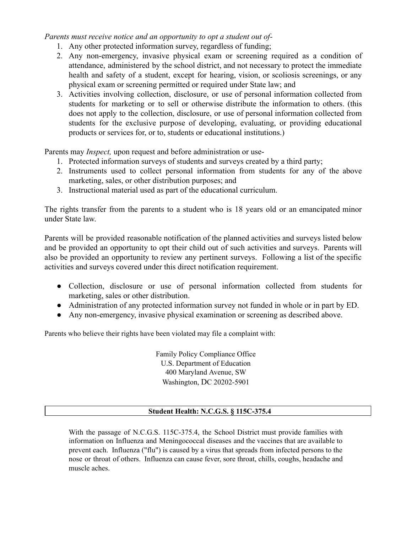*Parents must receive notice and an opportunity to opt a student out of-*

- 1. Any other protected information survey, regardless of funding;
- 2. Any non-emergency, invasive physical exam or screening required as a condition of attendance, administered by the school district, and not necessary to protect the immediate health and safety of a student, except for hearing, vision, or scoliosis screenings, or any physical exam or screening permitted or required under State law; and
- 3. Activities involving collection, disclosure, or use of personal information collected from students for marketing or to sell or otherwise distribute the information to others. (this does not apply to the collection, disclosure, or use of personal information collected from students for the exclusive purpose of developing, evaluating, or providing educational products or services for, or to, students or educational institutions.)

Parents may *Inspect,* upon request and before administration or use-

- 1. Protected information surveys of students and surveys created by a third party;
- 2. Instruments used to collect personal information from students for any of the above marketing, sales, or other distribution purposes; and
- 3. Instructional material used as part of the educational curriculum.

The rights transfer from the parents to a student who is 18 years old or an emancipated minor under State law.

Parents will be provided reasonable notification of the planned activities and surveys listed below and be provided an opportunity to opt their child out of such activities and surveys. Parents will also be provided an opportunity to review any pertinent surveys. Following a list of the specific activities and surveys covered under this direct notification requirement.

- Collection, disclosure or use of personal information collected from students for marketing, sales or other distribution.
- Administration of any protected information survey not funded in whole or in part by ED.
- Any non-emergency, invasive physical examination or screening as described above.

Parents who believe their rights have been violated may file a complaint with:

Family Policy Compliance Office U.S. Department of Education 400 Maryland Avenue, SW Washington, DC 20202-5901

## **Student Health: N.C.G.S. § 115C-375.4**

With the passage of N.C.G.S. 115C-375.4, the School District must provide families with information on Influenza and Meningococcal diseases and the vaccines that are available to prevent each. Influenza ("flu") is caused by a virus that spreads from infected persons to the nose or throat of others. Influenza can cause fever, sore throat, chills, coughs, headache and muscle aches.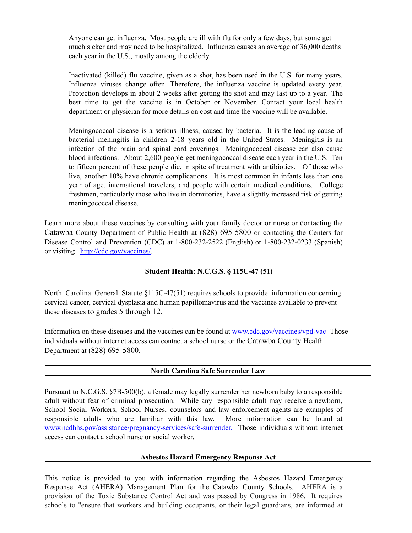Anyone can get influenza. Most people are ill with flu for only a few days, but some get much sicker and may need to be hospitalized. Influenza causes an average of 36,000 deaths each year in the U.S., mostly among the elderly.

Inactivated (killed) flu vaccine, given as a shot, has been used in the U.S. for many years. Influenza viruses change often. Therefore, the influenza vaccine is updated every year. Protection develops in about 2 weeks after getting the shot and may last up to a year. The best time to get the vaccine is in October or November. Contact your local health department or physician for more details on cost and time the vaccine will be available.

Meningococcal disease is a serious illness, caused by bacteria. It is the leading cause of bacterial meningitis in children 2-18 years old in the United States. Meningitis is an infection of the brain and spinal cord coverings. Meningococcal disease can also cause blood infections. About 2,600 people get meningococcal disease each year in the U.S. Ten to fifteen percent of these people die, in spite of treatment with antibiotics. Of those who live, another 10% have chronic complications. It is most common in infants less than one year of age, international travelers, and people with certain medical conditions. College freshmen, particularly those who live in dormitories, have a slightly increased risk of getting meningococcal disease.

Learn more about these vaccines by consulting with your family doctor or nurse or contacting the Catawba County Department of Public Health at (828) 695-5800 or contacting the Centers for Disease Control and Prevention (CDC) at 1-800-232-2522 (English) or 1-800-232-0233 (Spanish) or visiting [http://cdc.gov/vaccines/.](http://cdc.gov/vaccines/)

#### **Student Health: N.C.G.S. § 115C-47 (51)**

North Carolina General Statute §115C-47(51) requires schools to provide information concerning cervical cancer, cervical dysplasia and human papillomavirus and the vaccines available to prevent these diseases to grades 5 through 12.

Information on these diseases and the vaccines can be found at [www.cdc.gov/vaccines/vpd-vac](http://www.cdc.gov/vaccines/vpd-vac) Those individuals without internet access can contact a school nurse or the Catawba County Health Department at (828) 695-5800.

#### **North Carolina Safe Surrender Law**

Pursuant to N.C.G.S. §7B-500(b), a female may legally surrender her newborn baby to a responsible adult without fear of criminal prosecution. While any responsible adult may receive a newborn, School Social Workers, School Nurses, counselors and law enforcement agents are examples of responsible adults who are familiar with this law. More information can be found at [www.ncdhhs.gov/assistance/pregnancy-services/safe-surrender.](http://www.safesurrender.net/) Those individuals without internet access can contact a school nurse or social worker.

#### **Asbestos Hazard Emergency Response Act**

This notice is provided to you with information regarding the Asbestos Hazard Emergency Response Act (AHERA) Management Plan for the Catawba County Schools. AHERA is a provision of the Toxic Substance Control Act and was passed by Congress in 1986. It requires schools to "ensure that workers and building occupants, or their legal guardians, are informed at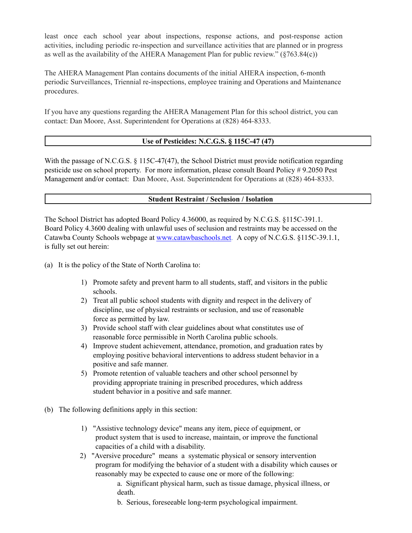least once each school year about inspections, response actions, and post-response action activities, including periodic re-inspection and surveillance activities that are planned or in progress as well as the availability of the AHERA Management Plan for public review." (§763.84(c))

The AHERA Management Plan contains documents of the initial AHERA inspection, 6-month periodic Surveillances, Triennial re-inspections, employee training and Operations and Maintenance procedures.

If you have any questions regarding the AHERA Management Plan for this school district, you can contact: Dan Moore, Asst. Superintendent for Operations at (828) 464-8333.

## **Use of Pesticides: N.C.G.S. § 115C-47 (47)**

With the passage of N.C.G.S. § 115C-47(47), the School District must provide notification regarding pesticide use on school property. For more information, please consult Board Policy # 9.2050 Pest Management and/or contact: Dan Moore, Asst. Superintendent for Operations at (828) 464-8333.

#### **Student Restraint / Seclusion / Isolation**

The School District has adopted Board Policy 4.36000, as required by N.C.G.S. §115C-391.1. Board Policy 4.3600 dealing with unlawful uses of seclusion and restraints may be accessed on the Catawba County Schools webpage at [www.catawbaschools.net.](http://www.catawbaschools.net/) A copy of N.C.G.S. §115C-39.1.1, is fully set out herein:

(a) It is the policy of the State of North Carolina to:

- 1) Promote safety and prevent harm to all students, staff, and visitors in the public schools.
- 2) Treat all public school students with dignity and respect in the delivery of discipline, use of physical restraints or seclusion, and use of reasonable force as permitted by law.
- 3) Provide school staff with clear guidelines about what constitutes use of reasonable force permissible in North Carolina public schools.
- 4) Improve student achievement, attendance, promotion, and graduation rates by employing positive behavioral interventions to address student behavior in a positive and safe manner.
- 5) Promote retention of valuable teachers and other school personnel by providing appropriate training in prescribed procedures, which address student behavior in a positive and safe manner.
- (b) The following definitions apply in this section:
	- 1) "Assistive technology device" means any item, piece of equipment, or product system that is used to increase, maintain, or improve the functional capacities of a child with a disability.
	- 2) "Aversive procedure" means a systematic physical or sensory intervention program for modifying the behavior of a student with a disability which causes or reasonably may be expected to cause one or more of the following:
		- a. Significant physical harm, such as tissue damage, physical illness, or death.
		- b. Serious, foreseeable long-term psychological impairment.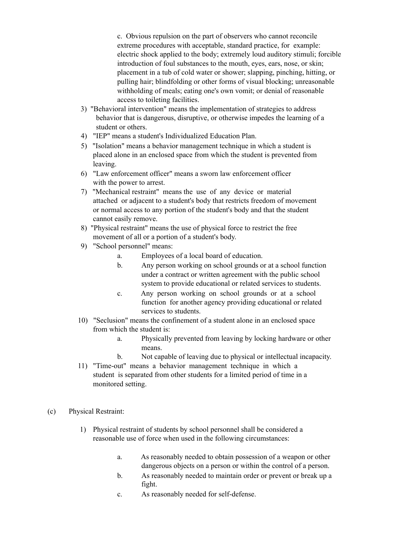c. Obvious repulsion on the part of observers who cannot reconcile extreme procedures with acceptable, standard practice, for example: electric shock applied to the body; extremely loud auditory stimuli; forcible introduction of foul substances to the mouth, eyes, ears, nose, or skin; placement in a tub of cold water or shower; slapping, pinching, hitting, or pulling hair; blindfolding or other forms of visual blocking; unreasonable withholding of meals; eating one's own vomit; or denial of reasonable access to toileting facilities.

- 3) "Behavioral intervention" means the implementation of strategies to address behavior that is dangerous, disruptive, or otherwise impedes the learning of a student or others.
- 4) "IEP" means a student's Individualized Education Plan.
- 5) "Isolation" means a behavior management technique in which a student is placed alone in an enclosed space from which the student is prevented from leaving.
- 6) "Law enforcement officer" means a sworn law enforcement officer with the power to arrest.
- 7) "Mechanical restraint" means the use of any device or material attached or adjacent to a student's body that restricts freedom of movement or normal access to any portion of the student's body and that the student cannot easily remove.
- 8) "Physical restraint" means the use of physical force to restrict the free movement of all or a portion of a student's body.
- 9) "School personnel" means:
	- a. Employees of a local board of education.
	- b. Any person working on school grounds or at a school function under a contract or written agreement with the public school system to provide educational or related services to students.
	- c. Any person working on school grounds or at a school function for another agency providing educational or related services to students.
- 10) "Seclusion" means the confinement of a student alone in an enclosed space from which the student is:
	- a. Physically prevented from leaving by locking hardware or other means.
	- b. Not capable of leaving due to physical or intellectual incapacity.
- 11) "Time-out" means a behavior management technique in which a student is separated from other students for a limited period of time in a monitored setting.
- (c) Physical Restraint:
	- 1) Physical restraint of students by school personnel shall be considered a reasonable use of force when used in the following circumstances:
		- a. As reasonably needed to obtain possession of a weapon or other dangerous objects on a person or within the control of a person.
		- b. As reasonably needed to maintain order or prevent or break up a fight.
		- c. As reasonably needed for self-defense.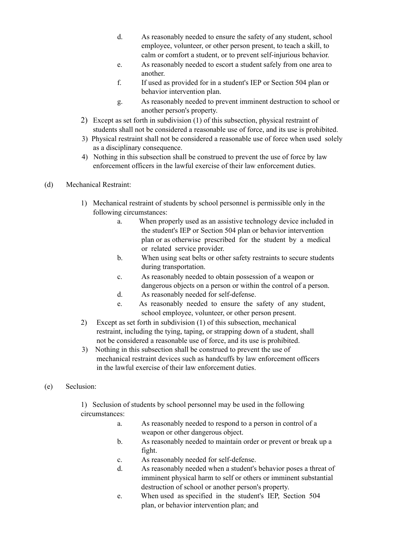- d. As reasonably needed to ensure the safety of any student, school employee, volunteer, or other person present, to teach a skill, to calm or comfort a student, or to prevent self-injurious behavior.
- e. As reasonably needed to escort a student safely from one area to another.
- f. If used as provided for in a student's IEP or Section 504 plan or behavior intervention plan.
- g. As reasonably needed to prevent imminent destruction to school or another person's property.
- 2) Except as set forth in subdivision (1) of this subsection, physical restraint of students shall not be considered a reasonable use of force, and its use is prohibited.
- 3) Physical restraint shall not be considered a reasonable use of force when used solely as a disciplinary consequence.
- 4) Nothing in this subsection shall be construed to prevent the use of force by law enforcement officers in the lawful exercise of their law enforcement duties.
- (d) Mechanical Restraint:
	- 1) Mechanical restraint of students by school personnel is permissible only in the following circumstances:
		- a. When properly used as an assistive technology device included in the student's IEP or Section 504 plan or behavior intervention plan or as otherwise prescribed for the student by a medical or related service provider.
		- b. When using seat belts or other safety restraints to secure students during transportation.
		- c. As reasonably needed to obtain possession of a weapon or dangerous objects on a person or within the control of a person.
		- d. As reasonably needed for self-defense.
		- e. As reasonably needed to ensure the safety of any student, school employee, volunteer, or other person present.
	- 2) Except as set forth in subdivision (1) of this subsection, mechanical restraint, including the tying, taping, or strapping down of a student, shall not be considered a reasonable use of force, and its use is prohibited.
	- 3) Nothing in this subsection shall be construed to prevent the use of mechanical restraint devices such as handcuffs by law enforcement officers in the lawful exercise of their law enforcement duties.

## (e) Seclusion:

1) Seclusion of students by school personnel may be used in the following circumstances:

- a. As reasonably needed to respond to a person in control of a weapon or other dangerous object.
- b. As reasonably needed to maintain order or prevent or break up a fight.
- c. As reasonably needed for self-defense.
- d. As reasonably needed when a student's behavior poses a threat of imminent physical harm to self or others or imminent substantial destruction of school or another person's property.
- e. When used as specified in the student's IEP, Section 504 plan, or behavior intervention plan; and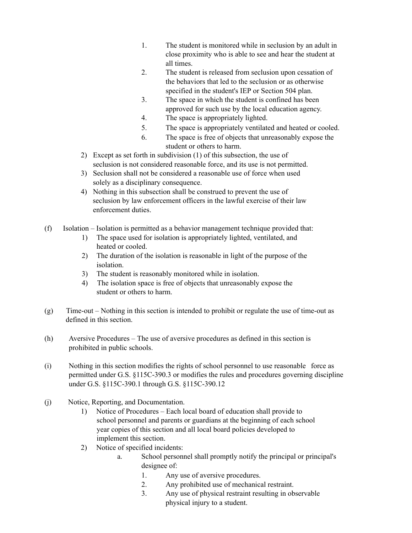- 1. The student is monitored while in seclusion by an adult in close proximity who is able to see and hear the student at all times.
- 2. The student is released from seclusion upon cessation of the behaviors that led to the seclusion or as otherwise specified in the student's IEP or Section 504 plan.
- 3. The space in which the student is confined has been approved for such use by the local education agency.
- 4. The space is appropriately lighted.
- 5. The space is appropriately ventilated and heated or cooled.
- 6. The space is free of objects that unreasonably expose the student or others to harm.
- 2) Except as set forth in subdivision (1) of this subsection, the use of seclusion is not considered reasonable force, and its use is not permitted.
- 3) Seclusion shall not be considered a reasonable use of force when used solely as a disciplinary consequence.
- 4) Nothing in this subsection shall be construed to prevent the use of seclusion by law enforcement officers in the lawful exercise of their law enforcement duties.
- (f) Isolation Isolation is permitted as a behavior management technique provided that:
	- 1) The space used for isolation is appropriately lighted, ventilated, and heated or cooled.
	- 2) The duration of the isolation is reasonable in light of the purpose of the isolation.
	- 3) The student is reasonably monitored while in isolation.
	- 4) The isolation space is free of objects that unreasonably expose the student or others to harm.
- (g) Time-out Nothing in this section is intended to prohibit or regulate the use of time-out as defined in this section.
- (h) Aversive Procedures The use of aversive procedures as defined in this section is prohibited in public schools.
- (i) Nothing in this section modifies the rights of school personnel to use reasonable force as permitted under G.S. §115C-390.3 or modifies the rules and procedures governing discipline under G.S. §115C-390.1 through G.S. §115C-390.12
- (j) Notice, Reporting, and Documentation.
	- 1) Notice of Procedures Each local board of education shall provide to school personnel and parents or guardians at the beginning of each school year copies of this section and all local board policies developed to implement this section.
	- 2) Notice of specified incidents:
		- a. School personnel shall promptly notify the principal or principal's designee of:
			- 1. Any use of aversive procedures.
			- 2. Any prohibited use of mechanical restraint.
			- 3. Any use of physical restraint resulting in observable physical injury to a student.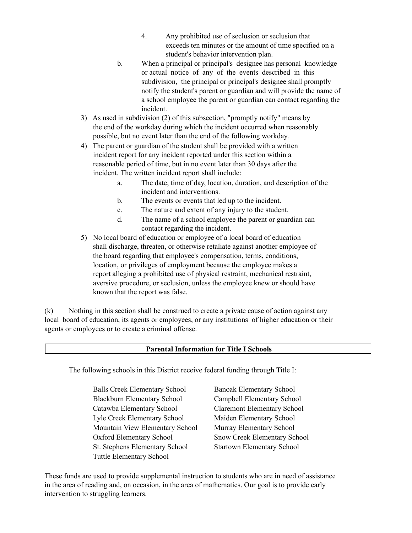- 4. Any prohibited use of seclusion or seclusion that exceeds ten minutes or the amount of time specified on a student's behavior intervention plan.
- b. When a principal or principal's designee has personal knowledge or actual notice of any of the events described in this subdivision, the principal or principal's designee shall promptly notify the student's parent or guardian and will provide the name of a school employee the parent or guardian can contact regarding the incident.
- 3) As used in subdivision (2) of this subsection, "promptly notify" means by the end of the workday during which the incident occurred when reasonably possible, but no event later than the end of the following workday.
- 4) The parent or guardian of the student shall be provided with a written incident report for any incident reported under this section within a reasonable period of time, but in no event later than 30 days after the incident. The written incident report shall include:
	- a. The date, time of day, location, duration, and description of the incident and interventions.
	- b. The events or events that led up to the incident.
	- c. The nature and extent of any injury to the student.
	- d. The name of a school employee the parent or guardian can contact regarding the incident.
- 5) No local board of education or employee of a local board of education shall discharge, threaten, or otherwise retaliate against another employee of the board regarding that employee's compensation, terms, conditions, location, or privileges of employment because the employee makes a report alleging a prohibited use of physical restraint, mechanical restraint, aversive procedure, or seclusion, unless the employee knew or should have known that the report was false.

(k) Nothing in this section shall be construed to create a private cause of action against any local board of education, its agents or employees, or any institutions of higher education or their agents or employees or to create a criminal offense.

## **Parental Information for Title I Schools**

The following schools in this District receive federal funding through Title I:

Balls Creek Elementary School Banoak Elementary School Blackburn Elementary School Campbell Elementary School Catawba Elementary School Claremont Elementary School Lyle Creek Elementary School Maiden Elementary School Mountain View Elementary School Murray Elementary School Oxford Elementary School Snow Creek Elementary School St. Stephens Elementary School Startown Elementary School Tuttle Elementary School

These funds are used to provide supplemental instruction to students who are in need of assistance in the area of reading and, on occasion, in the area of mathematics. Our goal is to provide early intervention to struggling learners.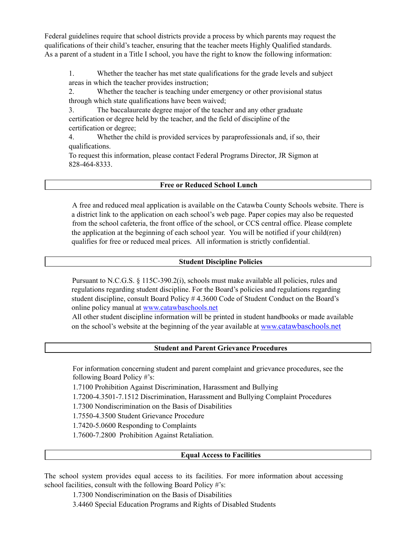Federal guidelines require that school districts provide a process by which parents may request the qualifications of their child's teacher, ensuring that the teacher meets Highly Qualified standards. As a parent of a student in a Title I school, you have the right to know the following information:

1. Whether the teacher has met state qualifications for the grade levels and subject areas in which the teacher provides instruction;

2. Whether the teacher is teaching under emergency or other provisional status through which state qualifications have been waived;

3. The baccalaureate degree major of the teacher and any other graduate certification or degree held by the teacher, and the field of discipline of the certification or degree;

4. Whether the child is provided services by paraprofessionals and, if so, their qualifications.

To request this information, please contact Federal Programs Director, JR Sigmon at 828-464-8333.

#### **Free or Reduced School Lunch**

A free and reduced meal application is available on the Catawba County Schools website. There is a district link to the application on each school's web page. Paper copies may also be requested from the school cafeteria, the front office of the school, or CCS central office. Please complete the application at the beginning of each school year. You will be notified if your child(ren) qualifies for free or reduced meal prices. All information is strictly confidential.

#### **Student Discipline Policies**

Pursuant to N.C.G.S. § 115C-390.2(i), schools must make available all policies, rules and regulations regarding student discipline. For the Board's policies and regulations regarding student discipline, consult Board Policy # 4.3600 Code of Student Conduct on the Board's online policy manual at [www.catawbaschools.net](http://www.catawbaschools.net/)

All other student discipline information will be printed in student handbooks or made available on the school's website at the beginning of the year available at www.[catawbaschools.net](http://www.catawbaschools.net/)

#### **Student and Parent Grievance Procedures**

For information concerning student and parent complaint and grievance procedures, see the following Board Policy #'s:

1.7100 Prohibition Against Discrimination, Harassment and Bullying

1.7200-4.3501-7.1512 Discrimination, Harassment and Bullying Complaint Procedures

1.7300 Nondiscrimination on the Basis of Disabilities

1.7550-4.3500 Student Grievance Procedure

1.7420-5.0600 Responding to Complaints

1.7600-7.2800 Prohibition Against Retaliation.

#### **Equal Access to Facilities**

The school system provides equal access to its facilities. For more information about accessing school facilities, consult with the following Board Policy #'s:

1.7300 Nondiscrimination on the Basis of Disabilities

3.4460 Special Education Programs and Rights of Disabled Students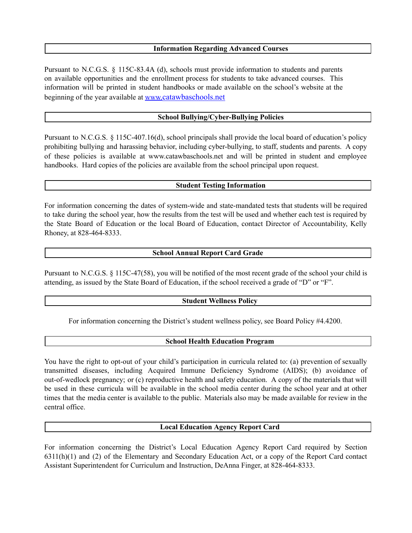#### **Information Regarding Advanced Courses**

Pursuant to N.C.G.S. § 115C-83.4A (d), schools must provide information to students and parents on available opportunities and the enrollment process for students to take advanced courses. This information will be printed in student handbooks or made available on the school's website at the beginning of the year available at www.[catawbaschools.net](http://www.catawbaschools.net/)

#### **School Bullying/Cyber-Bullying Policies**

Pursuant to N.C.G.S. § 115C-407.16(d), school principals shall provide the local board of education's policy prohibiting bullying and harassing behavior, including cyber-bullying, to staff, students and parents. A copy of these policies is available at www.catawbaschools.net and will be printed in student and employee handbooks. Hard copies of the policies are available from the school principal upon request.

#### **Student Testing Information**

For information concerning the dates of system-wide and state-mandated tests that students will be required to take during the school year, how the results from the test will be used and whether each test is required by the State Board of Education or the local Board of Education, contact Director of Accountability, Kelly Rhoney, at 828-464-8333.

#### **School Annual Report Card Grade**

Pursuant to N.C.G.S. § 115C-47(58), you will be notified of the most recent grade of the school your child is attending, as issued by the State Board of Education, if the school received a grade of "D" or "F".

#### **Student Wellness Policy**

For information concerning the District's student wellness policy, see Board Policy #4.4200.

#### **School Health Education Program**

You have the right to opt-out of your child's participation in curricula related to: (a) prevention of sexually transmitted diseases, including Acquired Immune Deficiency Syndrome (AIDS); (b) avoidance of out-of-wedlock pregnancy; or (c) reproductive health and safety education. A copy of the materials that will be used in these curricula will be available in the school media center during the school year and at other times that the media center is available to the public. Materials also may be made available for review in the central office.

### **Local Education Agency Report Card**

For information concerning the District's Local Education Agency Report Card required by Section 6311(h)(1) and (2) of the Elementary and Secondary Education Act, or a copy of the Report Card contact Assistant Superintendent for Curriculum and Instruction, DeAnna Finger, at 828-464-8333.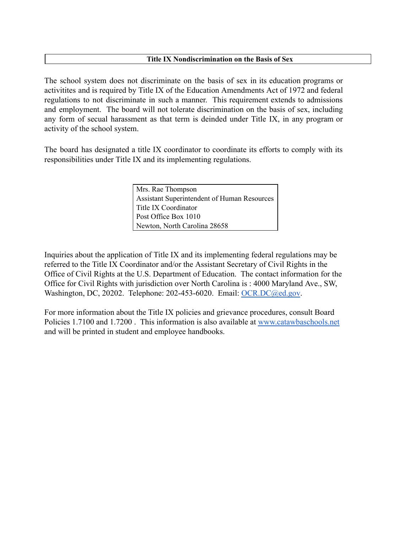## **Title IX Nondiscrimination on the Basis of Sex**

The school system does not discriminate on the basis of sex in its education programs or activitites and is required by Title IX of the Education Amendments Act of 1972 and federal regulations to not discriminate in such a manner. This requirement extends to admissions and employment. The board will not tolerate discrimination on the basis of sex, including any form of secual harassment as that term is deinded under Title IX, in any program or activity of the school system.

The board has designated a title IX coordinator to coordinate its efforts to comply with its responsibilities under Title IX and its implementing regulations.

> Mrs. Rae Thompson Assistant Superintendent of Human Resources Title IX Coordinator Post Office Box 1010 Newton, North Carolina 28658

Inquiries about the application of Title IX and its implementing federal regulations may be referred to the Title IX Coordinator and/or the Assistant Secretary of Civil Rights in the Office of Civil Rights at the U.S. Department of Education. The contact information for the Office for Civil Rights with jurisdiction over North Carolina is : 4000 Maryland Ave., SW, Washington, DC, 20202. Telephone: 202-453-6020. Email: [OCR.DC@ed.gov](mailto:OCR.DC@ed.gov).

For more information about the Title IX policies and grievance procedures, consult Board Policies 1.7100 and 1.7200 . This information is also available at [www.catawbaschools.net](http://www.catawbaschools.net/) and will be printed in student and employee handbooks.